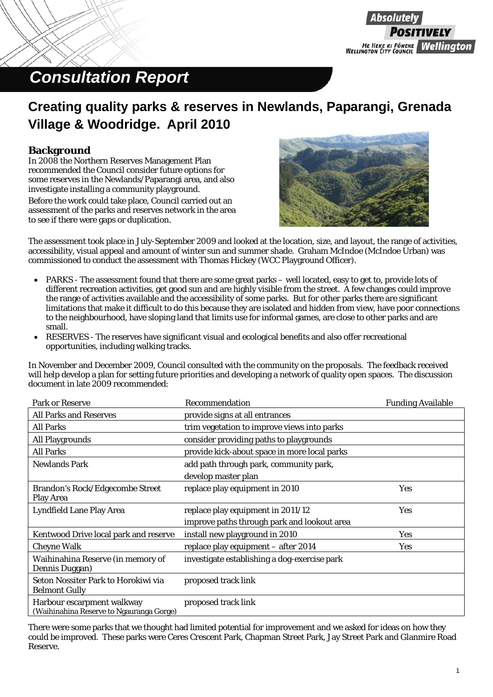### Absolute ME HEKE KI PŌNEKE<br>| WELLINGTON CITY COUNCIL **Wellinaton**

### *Consultation Report*

### **Creating quality parks & reserves in Newlands, Paparangi, Grenada Village & Woodridge. April 2010**

### **Background**

In 2008 the Northern Reserves Management Plan recommended the Council consider future options for some reserves in the Newlands/Paparangi area, and also investigate installing a community playground.

Before the work could take place, Council carried out an assessment of the parks and reserves network in the area to see if there were gaps or duplication.



The assessment took place in July-September 2009 and looked at the location, size, and layout, the range of activities, accessibility, visual appeal and amount of winter sun and summer shade. Graham McIndoe (McIndoe Urban) was commissioned to conduct the assessment with Thomas Hickey (WCC Playground Officer).

- PARKS The assessment found that there are some great parks well located, easy to get to, provide lots of different recreation activities, get good sun and are highly visible from the street. A few changes could improve the range of activities available and the accessibility of some parks. But for other parks there are significant limitations that make it difficult to do this because they are isolated and hidden from view, have poor connections to the neighbourhood, have sloping land that limits use for informal games, are close to other parks and are small.
- RESERVES The reserves have significant visual and ecological benefits and also offer recreational opportunities, including walking tracks.

In November and December 2009, Council consulted with the community on the proposals. The feedback received will help develop a plan for setting future priorities and developing a network of quality open spaces. The discussion document in late 2009 recommended:

| <b>Park or Reserve</b>                                                 | Recommendation                               | <b>Funding Available</b> |
|------------------------------------------------------------------------|----------------------------------------------|--------------------------|
| <b>All Parks and Reserves</b>                                          | provide signs at all entrances               |                          |
| <b>All Parks</b>                                                       | trim vegetation to improve views into parks  |                          |
| All Playgrounds                                                        | consider providing paths to playgrounds      |                          |
| <b>All Parks</b>                                                       | provide kick-about space in more local parks |                          |
| <b>Newlands Park</b>                                                   | add path through park, community park,       |                          |
|                                                                        | develop master plan                          |                          |
| <b>Brandon's Rock/Edgecombe Street</b><br><b>Play Area</b>             | replace play equipment in 2010               | Yes                      |
| <b>Lyndfield Lane Play Area</b>                                        | replace play equipment in 2011/12            | Yes                      |
|                                                                        | improve paths through park and lookout area  |                          |
| <b>Kentwood Drive local park and reserve</b>                           | install new playground in 2010               | Yes                      |
| <b>Cheyne Walk</b>                                                     | replace play equipment - after 2014          | <b>Yes</b>               |
| Waihinahina Reserve (in memory of<br>Dennis Duggan)                    | investigate establishing a dog-exercise park |                          |
| Seton Nossiter Park to Horokiwi via<br><b>Belmont Gully</b>            | proposed track link                          |                          |
| Harbour escarpment walkway<br>(Waihinahina Reserve to Ngauranga Gorge) | proposed track link                          |                          |

There were some parks that we thought had limited potential for improvement and we asked for ideas on how they could be improved. These parks were Ceres Crescent Park, Chapman Street Park, Jay Street Park and Glanmire Road Reserve.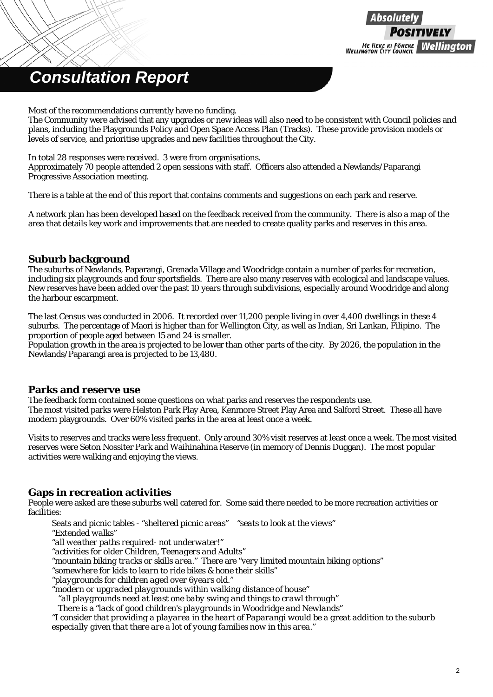

Most of the recommendations currently have no funding.

The Community were advised that any upgrades or new ideas will also need to be consistent with Council policies and plans, including the Playgrounds Policy and Open Space Access Plan (Tracks). These provide provision models or levels of service, and prioritise upgrades and new facilities throughout the City.

#### In total 28 responses were received. 3 were from organisations.

Approximately 70 people attended 2 open sessions with staff. Officers also attended a Newlands/Paparangi Progressive Association meeting.

There is a table at the end of this report that contains comments and suggestions on each park and reserve.

A network plan has been developed based on the feedback received from the community. There is also a map of the area that details key work and improvements that are needed to create quality parks and reserves in this area.

#### **Suburb background**

The suburbs of Newlands, Paparangi, Grenada Village and Woodridge contain a number of parks for recreation, including six playgrounds and four sportsfields. There are also many reserves with ecological and landscape values. New reserves have been added over the past 10 years through subdivisions, especially around Woodridge and along the harbour escarpment.

The last Census was conducted in 2006. It recorded over 11,200 people living in over 4,400 dwellings in these 4 suburbs. The percentage of Maori is higher than for Wellington City, as well as Indian, Sri Lankan, Filipino. The proportion of people aged between 15 and 24 is smaller.

Population growth in the area is projected to be lower than other parts of the city. By 2026, the population in the Newlands/Paparangi area is projected to be 13,480.

#### **Parks and reserve use**

The feedback form contained some questions on what parks and reserves the respondents use. The most visited parks were Helston Park Play Area, Kenmore Street Play Area and Salford Street. These all have modern playgrounds. Over 60% visited parks in the area at least once a week.

Visits to reserves and tracks were less frequent. Only around 30% visit reserves at least once a week. The most visited reserves were Seton Nossiter Park and Waihinahina Reserve (in memory of Dennis Duggan). The most popular activities were walking and enjoying the views.

#### **Gaps in recreation activities**

People were asked are these suburbs well catered for. Some said there needed to be more recreation activities or facilities:

Seats and picnic tables *- "sheltered picnic areas" "seats to look at the views" "Extended walks" "all weather paths required- not underwater!" "activities for older Children, Teenagers and Adults" "mountain biking tracks or skills area."* There are *"very limited mountain biking options" "somewhere for kids to learn to ride bikes & hone their skills" "playgrounds for children aged over 6years old." "modern or upgraded playgrounds within walking distance of house" "all playgrounds need at least one baby swing and things to crawl through"*  There is a *"lack of good children's playgrounds in Woodridge and Newlands" "I consider that providing a playarea in the heart of Paparangi would be a great addition to the suburb especially given that there are a lot of young families now in this area."*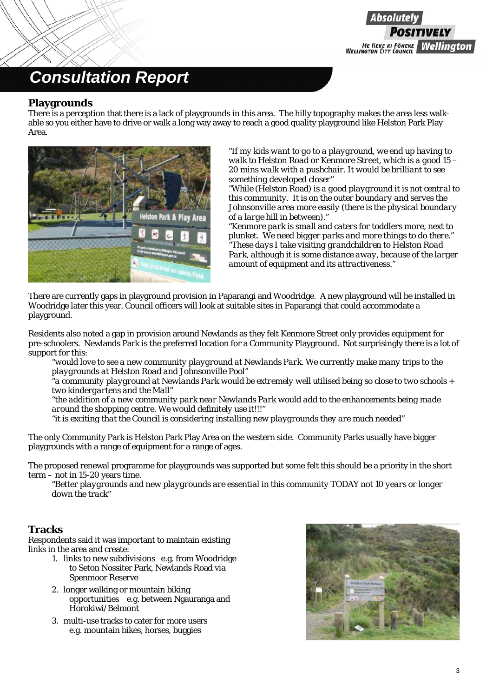

#### **Playgrounds**

There is a perception that there is a lack of playgrounds in this area. The hilly topography makes the area less walkable so you either have to drive or walk a long way away to reach a good quality playground like Helston Park Play Area.



*"If my kids want to go to a playground, we end up having to walk to Helston Road or Kenmore Street, which is a good 15 – 20 mins walk with a pushchair. It would be brilliant to see something developed closer"* 

*"While* (Helston Road) *is a good playground it is not central to this community. It is on the outer boundary and serves the Johnsonville area more easily (there is the physical boundary of a large hill in between)."* 

*"Kenmore park is small and caters for toddlers more, next to plunket. We need bigger parks and more things to do there." "These days I take visiting grandchildren to Helston Road Park, although it is some distance away, because of the larger amount of equipment and its attractiveness."* 

There are currently gaps in playground provision in Paparangi and Woodridge. A new playground will be installed in Woodridge later this year. Council officers will look at suitable sites in Paparangi that could accommodate a playground.

Residents also noted a gap in provision around Newlands as they felt Kenmore Street only provides equipment for pre-schoolers. Newlands Park is the preferred location for a Community Playground. Not surprisingly there is a lot of support for this:

*"would love to see a new community playground at Newlands Park. We currently make many trips to the playgrounds at Helston Road and Johnsonville Pool"* 

*"a community playground at Newlands Park would be extremely well utilised being so close to two schools + two kindergartens and the Mall"* 

*"the addition of a new community park near Newlands Park would add to the enhancements being made around the shopping centre. We would definitely use it!!!"* 

*"it is exciting that the Council is considering installing new playgrounds they are much needed"* 

The only Community Park is Helston Park Play Area on the western side. Community Parks usually have bigger playgrounds with a range of equipment for a range of ages.

The proposed renewal programme for playgrounds was supported but some felt this should be a priority in the short term – not in 15-20 years time.

*"Better playgrounds and new playgrounds are essential in this community TODAY not 10 years or longer down the track"* 

### **Tracks**

Respondents said it was important to maintain existing links in the area and create:

- 1. links to new subdivisions e.g. from Woodridge to Seton Nossiter Park, Newlands Road via Spenmoor Reserve
- 2. longer walking or mountain biking opportunities e.g. between Ngauranga and Horokiwi/Belmont
- 3. multi-use tracks to cater for more users e.g. mountain bikes, horses, buggies

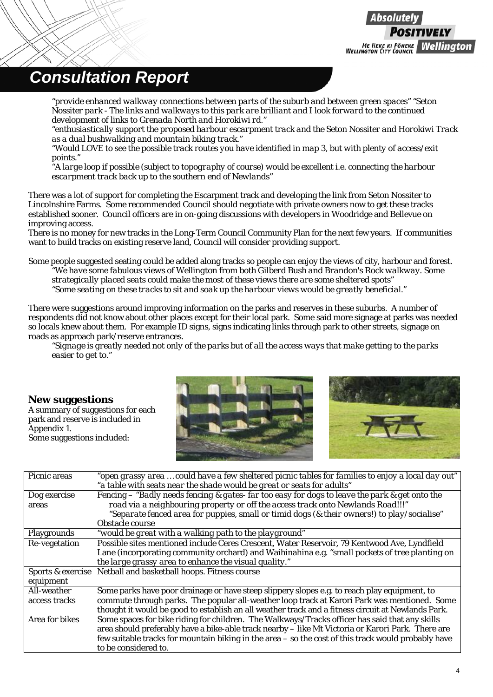

*"provide enhanced walkway connections between parts of the suburb and between green spaces" "Seton Nossiter park - The links and walkways to this park are brilliant and I look forward to the continued development of links to Grenada North and Horokiwi rd."* 

*"enthusiastically support the proposed harbour escarpment track and the Seton Nossiter and Horokiwi Track as a dual bushwalking and mountain biking track."* 

*"Would LOVE to see the possible track routes you have identified in map 3, but with plenty of access/exit points."* 

*"A large loop if possible (subject to topography of course) would be excellent i.e. connecting the harbour escarpment track back up to the southern end of Newlands"* 

There was a lot of support for completing the Escarpment track and developing the link from Seton Nossiter to Lincolnshire Farms. Some recommended Council should negotiate with private owners now to get these tracks established sooner. Council officers are in on-going discussions with developers in Woodridge and Bellevue on improving access.

There is no money for new tracks in the Long-Term Council Community Plan for the next few years. If communities want to build tracks on existing reserve land, Council will consider providing support.

Some people suggested seating could be added along tracks so people can enjoy the views of city, harbour and forest. *"We have some fabulous views of Wellington from both Gilberd Bush and Brandon's Rock walkway. Some strategically placed seats could make the most of these views there are some sheltered spots" "Some seating on these tracks to sit and soak up the harbour views would be greatly beneficial."* 

There were suggestions around improving information on the parks and reserves in these suburbs. A number of respondents did not know about other places except for their local park. Some said more signage at parks was needed so locals knew about them. For example ID signs, signs indicating links through park to other streets, signage on roads as approach park/reserve entrances.

*"Signage is greatly needed not only of the parks but of all the access ways that make getting to the parks easier to get to."* 

#### **New suggestions**

A summary of suggestions for each park and reserve is included in Appendix 1. Some suggestions included:





| Picnic areas       | "open grassy area  could have a few sheltered picnic tables for families to enjoy a local day out"  |
|--------------------|-----------------------------------------------------------------------------------------------------|
|                    | "a table with seats near the shade would be great or seats for adults"                              |
| Dog exercise       | Fencing - "Badly needs fencing & gates- far too easy for dogs to leave the park & get onto the      |
| areas              | road via a neighbouring property or off the access track onto Newlands Road!!!"                     |
|                    | "Separate fenced area for puppies, small or timid dogs (& their owners!) to play/socialise"         |
|                    | Obstacle course                                                                                     |
| <b>Playgrounds</b> | "would be great with a walking path to the playground"                                              |
| Re-vegetation      | Possible sites mentioned include Ceres Crescent, Water Reservoir, 79 Kentwood Ave, Lyndfield        |
|                    | Lane (incorporating community orchard) and Waihinahina e.g. "small pockets of tree planting on      |
|                    | the large grassy area to enhance the visual quality."                                               |
|                    | Sports & exercise Netball and basketball hoops. Fitness course                                      |
| equipment          |                                                                                                     |
| All-weather        | Some parks have poor drainage or have steep slippery slopes e.g. to reach play equipment, to        |
| access tracks      | commute through parks. The popular all-weather loop track at Karori Park was mentioned. Some        |
|                    | thought it would be good to establish an all weather track and a fitness circuit at Newlands Park.  |
| Area for bikes     | Some spaces for bike riding for children. The Walkways/Tracks officer has said that any skills      |
|                    | area should preferably have a bike-able track nearby - like Mt Victoria or Karori Park. There are   |
|                    | few suitable tracks for mountain biking in the area - so the cost of this track would probably have |
|                    | to be considered to.                                                                                |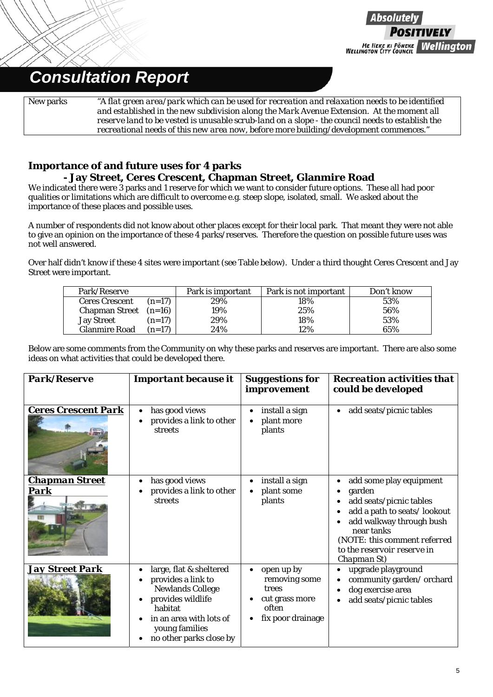

New parks *"A flat green area/park which can be used for recreation and relaxation needs to be identified and established in the new subdivision along the Mark Avenue Extension. At the moment all reserve land to be vested is unusable scrub-land on a slope - the council needs to establish the recreational needs of this new area now, before more building/development commences."*

### **Importance of and future uses for 4 parks - Jay Street, Ceres Crescent, Chapman Street, Glanmire Road**

We indicated there were 3 parks and 1 reserve for which we want to consider future options. These all had poor qualities or limitations which are difficult to overcome e.g. steep slope, isolated, small. We asked about the importance of these places and possible uses.

A number of respondents did not know about other places except for their local park. That meant they were not able to give an opinion on the importance of these 4 parks/reserves. Therefore the question on possible future uses was not well answered.

Over half didn't know if these 4 sites were important (see Table below). Under a third thought Ceres Crescent and Jay Street were important.

| Park/Reserve            |          | Park is important | Park is not important | Don't know |
|-------------------------|----------|-------------------|-----------------------|------------|
| <b>Ceres Crescent</b>   | $(n=17)$ | 29%               | 18%                   | 53%        |
| Chapman Street $(n=16)$ |          | 19%               | 25%                   | 56%        |
| <b>Jay Street</b>       | $(n=17)$ | 29%               | 18%                   | 53%        |
| <b>Glanmire Road</b>    | $(n=17)$ | 24%               | 12%                   | 65%        |

Below are some comments from the Community on why these parks and reserves are important. There are also some ideas on what activities that could be developed there.

| <b>Park/Reserve</b>           | <b>Important because it</b>                                                                                                                                                      | <b>Suggestions for</b><br>improvement                                                             | <b>Recreation activities that</b><br>could be developed                                                                                                                                                             |
|-------------------------------|----------------------------------------------------------------------------------------------------------------------------------------------------------------------------------|---------------------------------------------------------------------------------------------------|---------------------------------------------------------------------------------------------------------------------------------------------------------------------------------------------------------------------|
| <b>Ceres Crescent Park</b>    | has good views<br>provides a link to other<br>streets                                                                                                                            | install a sign<br>plant more<br>plants                                                            | add seats/picnic tables                                                                                                                                                                                             |
| <b>Chapman Street</b><br>Park | has good views<br>provides a link to other<br><b>streets</b>                                                                                                                     | install a sign<br>plant some<br>plants                                                            | add some play equipment<br>garden<br>add seats/picnic tables<br>add a path to seats/lookout<br>add walkway through bush<br>near tanks<br>(NOTE: this comment referred<br>to the reservoir reserve in<br>Chapman St) |
| <b>Jay Street Park</b>        | large, flat & sheltered<br>provides a link to<br><b>Newlands College</b><br>provides wildlife<br>habitat<br>in an area with lots of<br>young families<br>no other parks close by | open up by<br>$\bullet$<br>removing some<br>trees<br>cut grass more<br>often<br>fix poor drainage | upgrade playground<br>community garden/orchard<br>dog exercise area<br>add seats/picnic tables                                                                                                                      |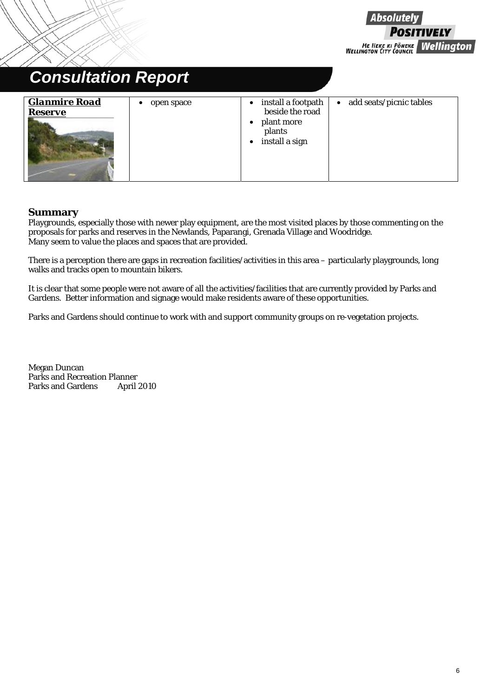7ELY ME HEKE KI PÕNEKE<br>| WELLINGTON CITY COUNCIL **Wellington** 

**Absolutely** 

### *Consultation Report Glanmire Road Reserve* • open space  $| \cdot |$  install a footpath beside the road plant more plants install a sign add seats/picnic tables

#### **Summary**

Playgrounds, especially those with newer play equipment, are the most visited places by those commenting on the proposals for parks and reserves in the Newlands, Paparangi, Grenada Village and Woodridge. Many seem to value the places and spaces that are provided.

There is a perception there are gaps in recreation facilities/activities in this area – particularly playgrounds, long walks and tracks open to mountain bikers.

It is clear that some people were not aware of all the activities/facilities that are currently provided by Parks and Gardens. Better information and signage would make residents aware of these opportunities.

Parks and Gardens should continue to work with and support community groups on re-vegetation projects.

Megan Duncan Parks and Recreation Planner Parks and Gardens April 2010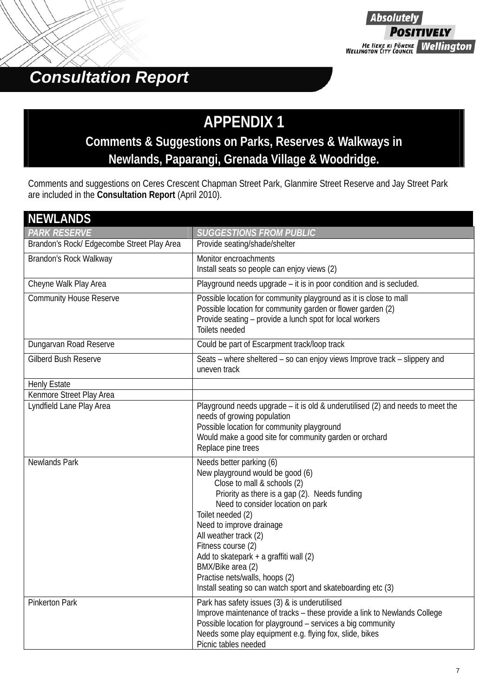

## **APPENDIX 1**

### **Comments & Suggestions on Parks, Reserves & Walkways in Newlands, Paparangi, Grenada Village & Woodridge.**

Comments and suggestions on Ceres Crescent Chapman Street Park, Glanmire Street Reserve and Jay Street Park are included in the **Consultation Report** (April 2010).

| <b>NEWLANDS</b>                            |                                                                                                                                                                                                                                                                                                                                                                                                                                                    |
|--------------------------------------------|----------------------------------------------------------------------------------------------------------------------------------------------------------------------------------------------------------------------------------------------------------------------------------------------------------------------------------------------------------------------------------------------------------------------------------------------------|
| <b>PARK RESERVE</b>                        | <b>SUGGESTIONS FROM PUBLIC</b>                                                                                                                                                                                                                                                                                                                                                                                                                     |
| Brandon's Rock/ Edgecombe Street Play Area | Provide seating/shade/shelter                                                                                                                                                                                                                                                                                                                                                                                                                      |
| Brandon's Rock Walkway                     | Monitor encroachments<br>Install seats so people can enjoy views (2)                                                                                                                                                                                                                                                                                                                                                                               |
| Cheyne Walk Play Area                      | Playground needs upgrade - it is in poor condition and is secluded.                                                                                                                                                                                                                                                                                                                                                                                |
| <b>Community House Reserve</b>             | Possible location for community playground as it is close to mall<br>Possible location for community garden or flower garden (2)<br>Provide seating - provide a lunch spot for local workers<br>Toilets needed                                                                                                                                                                                                                                     |
| Dungarvan Road Reserve                     | Could be part of Escarpment track/loop track                                                                                                                                                                                                                                                                                                                                                                                                       |
| <b>Gilberd Bush Reserve</b>                | Seats – where sheltered – so can enjoy views Improve track – slippery and<br>uneven track                                                                                                                                                                                                                                                                                                                                                          |
| <b>Henly Estate</b>                        |                                                                                                                                                                                                                                                                                                                                                                                                                                                    |
| Kenmore Street Play Area                   |                                                                                                                                                                                                                                                                                                                                                                                                                                                    |
| Lyndfield Lane Play Area                   | Playground needs upgrade - it is old & underutilised (2) and needs to meet the<br>needs of growing population<br>Possible location for community playground<br>Would make a good site for community garden or orchard<br>Replace pine trees                                                                                                                                                                                                        |
| Newlands Park                              | Needs better parking (6)<br>New playground would be good (6)<br>Close to mall & schools (2)<br>Priority as there is a gap (2). Needs funding<br>Need to consider location on park<br>Toilet needed (2)<br>Need to improve drainage<br>All weather track (2)<br>Fitness course (2)<br>Add to skatepark + a graffiti wall (2)<br>BMX/Bike area (2)<br>Practise nets/walls, hoops (2)<br>Install seating so can watch sport and skateboarding etc (3) |
| <b>Pinkerton Park</b>                      | Park has safety issues (3) & is underutilised<br>Improve maintenance of tracks – these provide a link to Newlands College<br>Possible location for playground - services a big community<br>Needs some play equipment e.g. flying fox, slide, bikes<br>Picnic tables needed                                                                                                                                                                        |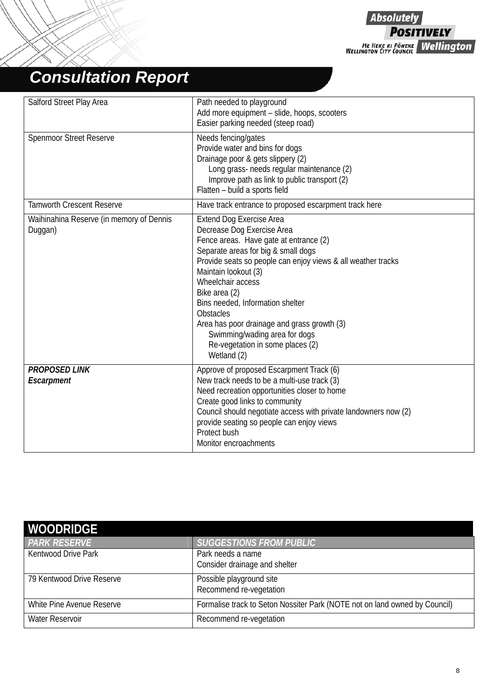**Absolutely POSITIVELY** ME HEKE KI PÖNEKE Wellington

# *Consultation Report*

| Salford Street Play Area                            | Path needed to playground                                                                                                                                                                                                                                                                                                                                                                                                                                               |
|-----------------------------------------------------|-------------------------------------------------------------------------------------------------------------------------------------------------------------------------------------------------------------------------------------------------------------------------------------------------------------------------------------------------------------------------------------------------------------------------------------------------------------------------|
|                                                     | Add more equipment - slide, hoops, scooters                                                                                                                                                                                                                                                                                                                                                                                                                             |
|                                                     | Easier parking needed (steep road)                                                                                                                                                                                                                                                                                                                                                                                                                                      |
| <b>Spenmoor Street Reserve</b>                      | Needs fencing/gates<br>Provide water and bins for dogs<br>Drainage poor & gets slippery (2)<br>Long grass- needs regular maintenance (2)<br>Improve path as link to public transport (2)<br>Flatten - build a sports field                                                                                                                                                                                                                                              |
| <b>Tamworth Crescent Reserve</b>                    | Have track entrance to proposed escarpment track here                                                                                                                                                                                                                                                                                                                                                                                                                   |
| Waihinahina Reserve (in memory of Dennis<br>Duggan) | <b>Extend Dog Exercise Area</b><br>Decrease Dog Exercise Area<br>Fence areas. Have gate at entrance (2)<br>Separate areas for big & small dogs<br>Provide seats so people can enjoy views & all weather tracks<br>Maintain lookout (3)<br>Wheelchair access<br>Bike area (2)<br>Bins needed, Information shelter<br><b>Obstacles</b><br>Area has poor drainage and grass growth (3)<br>Swimming/wading area for dogs<br>Re-vegetation in some places (2)<br>Wetland (2) |
| <b>PROPOSED LINK</b><br>Escarpment                  | Approve of proposed Escarpment Track (6)<br>New track needs to be a multi-use track (3)<br>Need recreation opportunities closer to home<br>Create good links to community<br>Council should negotiate access with private landowners now (2)<br>provide seating so people can enjoy views<br>Protect bush<br>Monitor encroachments                                                                                                                                      |

| <b>WOODRIDGE</b>           |                                                                            |
|----------------------------|----------------------------------------------------------------------------|
| <b>PARK RESERVE</b>        | SUGGESTIONS FROM PUBLIC                                                    |
| <b>Kentwood Drive Park</b> | Park needs a name                                                          |
|                            | Consider drainage and shelter                                              |
| 79 Kentwood Drive Reserve  | Possible playground site                                                   |
|                            | Recommend re-vegetation                                                    |
| White Pine Avenue Reserve  | Formalise track to Seton Nossiter Park (NOTE not on land owned by Council) |
| Water Reservoir            | Recommend re-vegetation                                                    |